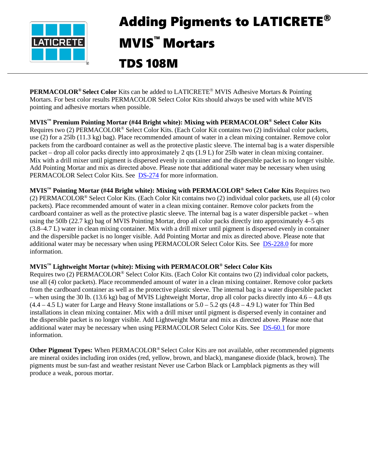

## Adding Pigments to LATICRETE® MVIS™ Mortars TDS 108M

**PERMACOLOR<sup>®</sup> Select Color** Kits can be added to LATICRETE<sup>®</sup> MVIS Adhesive Mortars & Pointing Mortars. For best color results PERMACOLOR Select Color Kits should always be used with white MVIS pointing and adhesive mortars when possible.

**MVIS™ Premium Pointing Mortar (#44 Bright white): Mixing with PERMACOLOR® Select Color Kits**  Requires two (2) PERMACOLOR® Select Color Kits. (Each Color Kit contains two (2) individual color packets, use (2) for a 25lb (11.3 kg) bag). Place recommended amount of water in a clean mixing container. Remove color packets from the cardboard container as well as the protective plastic sleeve. The internal bag is a water dispersible packet – drop all color packs directly into approximately 2 qts (1.9 L) for 25lb water in clean mixing container. Mix with a drill mixer until pigment is dispersed evenly in container and the dispersible packet is no longer visible. Add Pointing Mortar and mix as directed above. Please note that additional water may be necessary when using PERMACOLOR Select Color Kits. See **[DS-274](https://cdn.laticrete.com/%7E/media/product-documents/product-data-sheets/ds-274.ashx?la=en&vs=1&d=20200410T163608Z)** for more information.

**MVIS™ Pointing Mortar (#44 Bright white): Mixing with PERMACOLOR® Select Color Kits** Requires two (2) PERMACOLOR® Select Color Kits. (Each Color Kit contains two (2) individual color packets, use all (4) color packets). Place recommended amount of water in a clean mixing container. Remove color packets from the cardboard container as well as the protective plastic sleeve. The internal bag is a water dispersible packet – when using the 50lb (22.7 kg) bag of MVIS Pointing Mortar, drop all color packs directly into approximately 4–5 qts (3.8–4.7 L) water in clean mixing container. Mix with a drill mixer until pigment is dispersed evenly in container and the dispersible packet is no longer visible. Add Pointing Mortar and mix as directed above. Please note that additional water may be necessary when using PERMACOLOR Select Color Kits. See [DS-228.0](https://cdn.laticrete.com/%7E/media/product-documents/product-data-sheets/ds-2280.ashx?la=en&vs=1&d=20190710T153108Z) for more information.

## **MVIS™ Lightweight Mortar (white): Mixing with PERMACOLOR® Select Color Kits**

Requires two (2) PERMACOLOR® Select Color Kits. (Each Color Kit contains two (2) individual color packets, use all (4) color packets). Place recommended amount of water in a clean mixing container. Remove color packets from the cardboard container as well as the protective plastic sleeve. The internal bag is a water dispersible packet – when using the 30 lb. (13.6 kg) bag of MVIS Lightweight Mortar, drop all color packs directly into 4.6 – 4.8 qts  $(4.4 - 4.5 \text{ L})$  water for Large and Heavy Stone installations or  $5.0 - 5.2$  qts  $(4.8 - 4.9 \text{ L})$  water for Thin Bed installations in clean mixing container. Mix with a drill mixer until pigment is dispersed evenly in container and the dispersible packet is no longer visible. Add Lightweight Mortar and mix as directed above. Please note that additional water may be necessary when using PERMACOLOR Select Color Kits. See [DS-60.1](https://cdn.laticrete.com/%7E/media/product-documents/product-data-sheets/ds-601.ashx?la=en&vs=1&d=20200326T173022Z) for more information.

**Other Pigment Types:** When PERMACOLOR® Select Color Kits are not available, other recommended pigments are mineral oxides including iron oxides (red, yellow, brown, and black), manganese dioxide (black, brown). The pigments must be sun-fast and weather resistant Never use Carbon Black or Lampblack pigments as they will produce a weak, porous mortar.